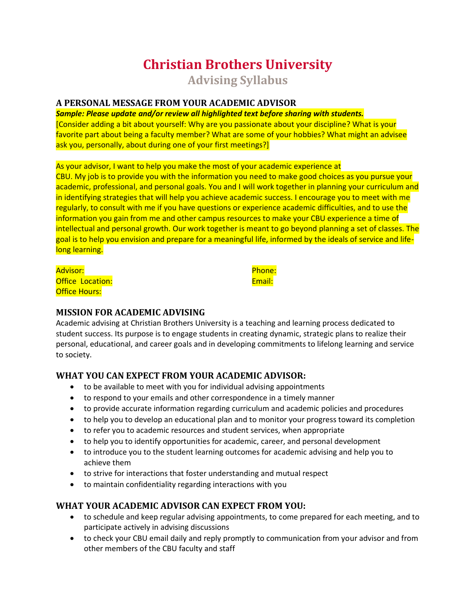# **Christian Brothers University Advising Syllabus**

## **A PERSONAL MESSAGE FROM YOUR ACADEMIC ADVISOR**

*Sample: Please update and/or review all highlighted text before sharing with students.*  [Consider adding a bit about yourself: Why are you passionate about your discipline? What is your favorite part about being a faculty member? What are some of your hobbies? What might an advisee ask you, personally, about during one of your first meetings?]

As your advisor, I want to help you make the most of your academic experience at CBU. My job is to provide you with the information you need to make good choices as you pursue your academic, professional, and personal goals. You and I will work together in planning your curriculum and in identifying strategies that will help you achieve academic success. I encourage you to meet with me regularly, to consult with me if you have questions or experience academic difficulties, and to use the information you gain from me and other campus resources to make your CBU experience a time of intellectual and personal growth. Our work together is meant to go beyond planning a set of classes. The goal is to help you envision and prepare for a meaningful life, informed by the ideals of service and lifelong learning.

Advisor: Office Location: **Office Hours:** 

Phone: Email:

## **MISSION FOR ACADEMIC ADVISING**

Academic advising at Christian Brothers University is a teaching and learning process dedicated to student success. Its purpose is to engage students in creating dynamic, strategic plans to realize their personal, educational, and career goals and in developing commitments to lifelong learning and service to society.

# **WHAT YOU CAN EXPECT FROM YOUR ACADEMIC ADVISOR:**

- to be available to meet with you for individual advising appointments
- to respond to your emails and other correspondence in a timely manner
- to provide accurate information regarding curriculum and academic policies and procedures
- to help you to develop an educational plan and to monitor your progress toward its completion
- to refer you to academic resources and student services, when appropriate
- to help you to identify opportunities for academic, career, and personal development
- to introduce you to the student learning outcomes for academic advising and help you to achieve them
- to strive for interactions that foster understanding and mutual respect
- to maintain confidentiality regarding interactions with you

# **WHAT YOUR ACADEMIC ADVISOR CAN EXPECT FROM YOU:**

- to schedule and keep regular advising appointments, to come prepared for each meeting, and to participate actively in advising discussions
- to check your CBU email daily and reply promptly to communication from your advisor and from other members of the CBU faculty and staff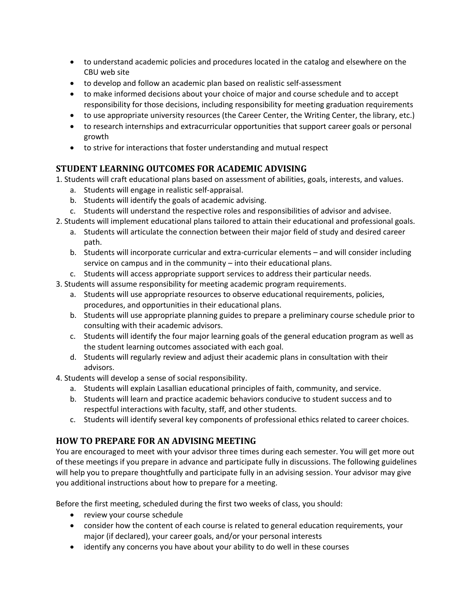- to understand academic policies and procedures located in the catalog and elsewhere on the CBU web site
- to develop and follow an academic plan based on realistic self-assessment
- to make informed decisions about your choice of major and course schedule and to accept responsibility for those decisions, including responsibility for meeting graduation requirements
- to use appropriate university resources (the Career Center, the Writing Center, the library, etc.)
- to research internships and extracurricular opportunities that support career goals or personal growth
- to strive for interactions that foster understanding and mutual respect

## **STUDENT LEARNING OUTCOMES FOR ACADEMIC ADVISING**

1. Students will craft educational plans based on assessment of abilities, goals, interests, and values.

- a. Students will engage in realistic self-appraisal.
- b. Students will identify the goals of academic advising.
- c. Students will understand the respective roles and responsibilities of advisor and advisee.
- 2. Students will implement educational plans tailored to attain their educational and professional goals.
	- a. Students will articulate the connection between their major field of study and desired career path.
	- b. Students will incorporate curricular and extra-curricular elements and will consider including service on campus and in the community – into their educational plans.
	- c. Students will access appropriate support services to address their particular needs.
- 3. Students will assume responsibility for meeting academic program requirements.
	- a. Students will use appropriate resources to observe educational requirements, policies, procedures, and opportunities in their educational plans.
	- b. Students will use appropriate planning guides to prepare a preliminary course schedule prior to consulting with their academic advisors.
	- c. Students will identify the four major learning goals of the general education program as well as the student learning outcomes associated with each goal.
	- d. Students will regularly review and adjust their academic plans in consultation with their advisors.
- 4. Students will develop a sense of social responsibility.
	- a. Students will explain Lasallian educational principles of faith, community, and service.
	- b. Students will learn and practice academic behaviors conducive to student success and to respectful interactions with faculty, staff, and other students.
	- c. Students will identify several key components of professional ethics related to career choices.

# **HOW TO PREPARE FOR AN ADVISING MEETING**

You are encouraged to meet with your advisor three times during each semester. You will get more out of these meetings if you prepare in advance and participate fully in discussions. The following guidelines will help you to prepare thoughtfully and participate fully in an advising session. Your advisor may give you additional instructions about how to prepare for a meeting.

Before the first meeting, scheduled during the first two weeks of class, you should:

- review your course schedule
- consider how the content of each course is related to general education requirements, your major (if declared), your career goals, and/or your personal interests
- identify any concerns you have about your ability to do well in these courses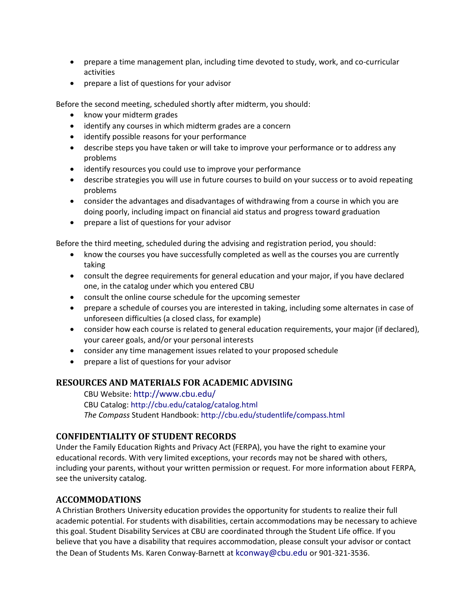- prepare a time management plan, including time devoted to study, work, and co-curricular activities
- prepare a list of questions for your advisor

Before the second meeting, scheduled shortly after midterm, you should:

- know your midterm grades
- identify any courses in which midterm grades are a concern
- identify possible reasons for your performance
- describe steps you have taken or will take to improve your performance or to address any problems
- identify resources you could use to improve your performance
- describe strategies you will use in future courses to build on your success or to avoid repeating problems
- consider the advantages and disadvantages of withdrawing from a course in which you are doing poorly, including impact on financial aid status and progress toward graduation
- prepare a list of questions for your advisor

Before the third meeting, scheduled during the advising and registration period, you should:

- know the courses you have successfully completed as well as the courses you are currently taking
- consult the degree requirements for general education and your major, if you have declared one, in the catalog under which you entered CBU
- consult the online course schedule for the upcoming semester
- prepare a schedule of courses you are interested in taking, including some alternates in case of unforeseen difficulties (a closed class, for example)
- consider how each course is related to general education requirements, your major (if declared), your career goals, and/or your personal interests
- consider any time management issues related to your proposed schedule
- prepare a list of questions for your advisor

#### **RESOURCES AND MATERIALS FOR ACADEMIC ADVISING**

CBU Website: http://www.cbu.edu/ CBU Catalog: http://cbu.edu/catalog/catalog.html *The Compass* Student Handbook: http://cbu.edu/studentlife/compass.html

#### **CONFIDENTIALITY OF STUDENT RECORDS**

Under the Family Education Rights and Privacy Act (FERPA), you have the right to examine your educational records. With very limited exceptions, your records may not be shared with others, including your parents, without your written permission or request. For more information about FERPA, see the university catalog.

#### **ACCOMMODATIONS**

A Christian Brothers University education provides the opportunity for students to realize their full academic potential. For students with disabilities, certain accommodations may be necessary to achieve this goal. Student Disability Services at CBU are coordinated through the Student Life office. If you believe that you have a disability that requires accommodation, please consult your advisor or contact the Dean of Students Ms. Karen Conway-Barnett at kconway@cbu.edu or 901-321-3536.